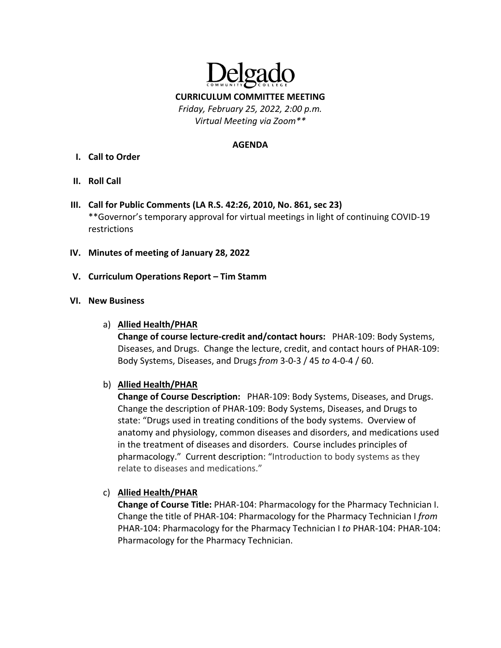

**CURRICULUM COMMITTEE MEETING**

*Friday, February 25, 2022, 2:00 p.m. Virtual Meeting via Zoom\*\**

#### **AGENDA**

- **I. Call to Order**
- **II. Roll Call**
- **III. Call for Public Comments (LA R.S. 42:26, 2010, No. 861, sec 23)** \*\*Governor's temporary approval for virtual meetings in light of continuing COVID‐19 restrictions
- **IV. Minutes of meeting of January 28, 2022**
- **V. Curriculum Operations Report – Tim Stamm**

### **VI. New Business**

a) **Allied Health/PHAR**

**Change of course lecture‐credit and/contact hours:**  PHAR‐109: Body Systems, Diseases, and Drugs. Change the lecture, credit, and contact hours of PHAR‐109: Body Systems, Diseases, and Drugs *from* 3‐0‐3 / 45 *to* 4‐0‐4 / 60.

## b) **Allied Health/PHAR**

**Change of Course Description:**  PHAR‐109: Body Systems, Diseases, and Drugs. Change the description of PHAR‐109: Body Systems, Diseases, and Drugs to state: "Drugs used in treating conditions of the body systems. Overview of anatomy and physiology, common diseases and disorders, and medications used in the treatment of diseases and disorders. Course includes principles of pharmacology." Current description: "Introduction to body systems as they relate to diseases and medications."

## c) **Allied Health/PHAR**

**Change of Course Title:** PHAR‐104: Pharmacology for the Pharmacy Technician I. Change the title of PHAR‐104: Pharmacology for the Pharmacy Technician I *from* PHAR‐104: Pharmacology for the Pharmacy Technician I *to* PHAR‐104: PHAR‐104: Pharmacology for the Pharmacy Technician.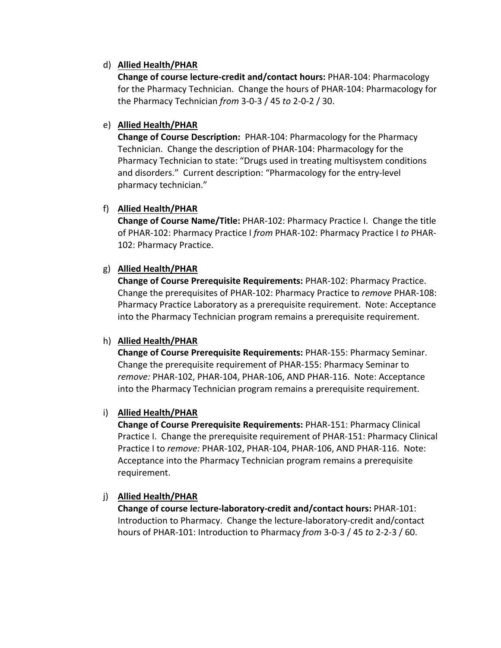### d) **Allied Health/PHAR**

**Change of course lecture‐credit and/contact hours:** PHAR‐104: Pharmacology for the Pharmacy Technician. Change the hours of PHAR‐104: Pharmacology for the Pharmacy Technician *from* 3‐0‐3 / 45 *to* 2‐0‐2 / 30.

### e) **Allied Health/PHAR**

**Change of Course Description:** PHAR‐104: Pharmacology for the Pharmacy Technician. Change the description of PHAR‐104: Pharmacology for the Pharmacy Technician to state: "Drugs used in treating multisystem conditions and disorders." Current description: "Pharmacology for the entry‐level pharmacy technician."

### f) **Allied Health/PHAR**

**Change of Course Name/Title:** PHAR‐102: Pharmacy Practice I. Change the title of PHAR‐102: Pharmacy Practice I *from* PHAR‐102: Pharmacy Practice I *to* PHAR‐ 102: Pharmacy Practice.

### g) **Allied Health/PHAR**

**Change of Course Prerequisite Requirements:** PHAR‐102: Pharmacy Practice. Change the prerequisites of PHAR‐102: Pharmacy Practice to *remove* PHAR‐108: Pharmacy Practice Laboratory as a prerequisite requirement. Note: Acceptance into the Pharmacy Technician program remains a prerequisite requirement.

## h) **Allied Health/PHAR**

**Change of Course Prerequisite Requirements:** PHAR‐155: Pharmacy Seminar. Change the prerequisite requirement of PHAR‐155: Pharmacy Seminar to *remove:* PHAR‐102, PHAR‐104, PHAR‐106, AND PHAR‐116. Note: Acceptance into the Pharmacy Technician program remains a prerequisite requirement.

## i) **Allied Health/PHAR**

**Change of Course Prerequisite Requirements:** PHAR‐151: Pharmacy Clinical Practice I. Change the prerequisite requirement of PHAR‐151: Pharmacy Clinical Practice I to *remove:* PHAR‐102, PHAR‐104, PHAR‐106, AND PHAR‐116. Note: Acceptance into the Pharmacy Technician program remains a prerequisite requirement.

## j) **Allied Health/PHAR**

**Change of course lecture‐laboratory‐credit and/contact hours:** PHAR‐101: Introduction to Pharmacy. Change the lecture‐laboratory‐credit and/contact hours of PHAR‐101: Introduction to Pharmacy *from* 3‐0‐3 / 45 *to* 2‐2‐3 / 60.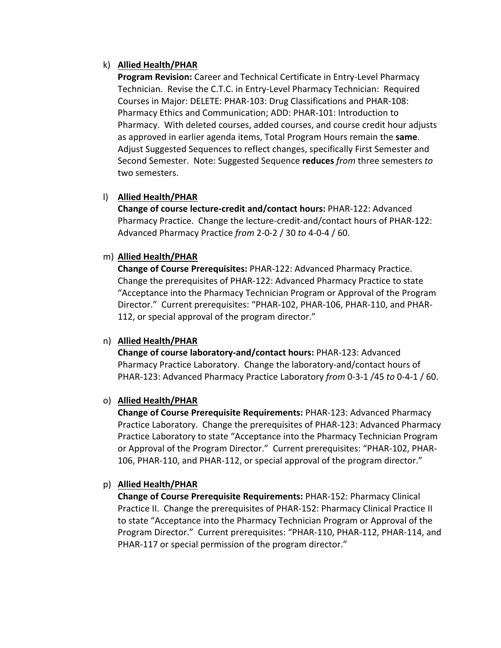### k) **Allied Health/PHAR**

**Program Revision:** Career and Technical Certificate in Entry‐Level Pharmacy Technician. Revise the C.T.C. in Entry‐Level Pharmacy Technician: Required Courses in Major: DELETE: PHAR‐103: Drug Classifications and PHAR‐108: Pharmacy Ethics and Communication; ADD: PHAR‐101: Introduction to Pharmacy. With deleted courses, added courses, and course credit hour adjusts as approved in earlier agenda items, Total Program Hours remain the **same**. Adjust Suggested Sequences to reflect changes, specifically First Semester and Second Semester. Note: Suggested Sequence **reduces** *from* three semesters *to* two semesters.

## l) **Allied Health/PHAR**

**Change of course lecture‐credit and/contact hours:** PHAR‐122: Advanced Pharmacy Practice. Change the lecture‐credit‐and/contact hours of PHAR‐122: Advanced Pharmacy Practice *from* 2‐0‐2 / 30 *to* 4‐0‐4 / 60.

### m) **Allied Health/PHAR**

**Change of Course Prerequisites:** PHAR‐122: Advanced Pharmacy Practice. Change the prerequisites of PHAR‐122: Advanced Pharmacy Practice to state "Acceptance into the Pharmacy Technician Program or Approval of the Program Director." Current prerequisites: "PHAR‐102, PHAR‐106, PHAR‐110, and PHAR‐ 112, or special approval of the program director."

## n) **Allied Health/PHAR**

**Change of course laboratory‐and/contact hours:** PHAR‐123: Advanced Pharmacy Practice Laboratory. Change the laboratory‐and/contact hours of PHAR‐123: Advanced Pharmacy Practice Laboratory *from* 0‐3‐1 /45 *to* 0‐4‐1 / 60.

## o) **Allied Health/PHAR**

**Change of Course Prerequisite Requirements:** PHAR‐123: Advanced Pharmacy Practice Laboratory. Change the prerequisites of PHAR‐123: Advanced Pharmacy Practice Laboratory to state "Acceptance into the Pharmacy Technician Program or Approval of the Program Director." Current prerequisites: "PHAR‐102, PHAR‐ 106, PHAR‐110, and PHAR‐112, or special approval of the program director."

## p) **Allied Health/PHAR**

**Change of Course Prerequisite Requirements:** PHAR‐152: Pharmacy Clinical Practice II. Change the prerequisites of PHAR‐152: Pharmacy Clinical Practice II to state "Acceptance into the Pharmacy Technician Program or Approval of the Program Director." Current prerequisites: "PHAR‐110, PHAR‐112, PHAR‐114, and PHAR-117 or special permission of the program director."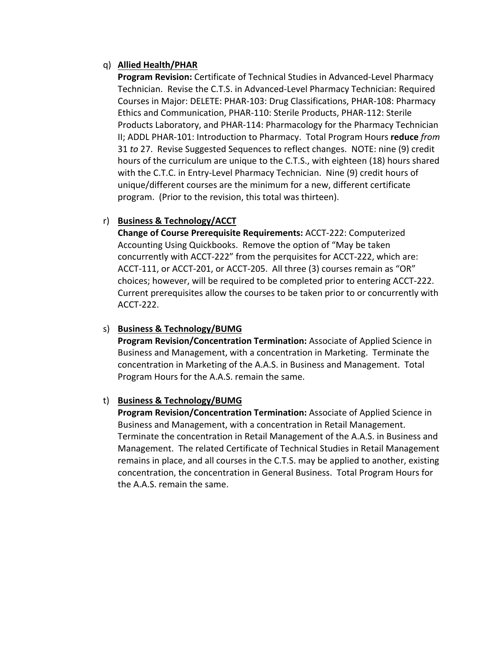### q) **Allied Health/PHAR**

**Program Revision:** Certificate of Technical Studies in Advanced‐Level Pharmacy Technician. Revise the C.T.S. in Advanced‐Level Pharmacy Technician: Required Courses in Major: DELETE: PHAR‐103: Drug Classifications, PHAR‐108: Pharmacy Ethics and Communication, PHAR‐110: Sterile Products, PHAR‐112: Sterile Products Laboratory, and PHAR‐114: Pharmacology for the Pharmacy Technician II; ADDL PHAR‐101: Introduction to Pharmacy. Total Program Hours **reduce** *from* 31 *to* 27. Revise Suggested Sequences to reflect changes. NOTE: nine (9) credit hours of the curriculum are unique to the C.T.S., with eighteen (18) hours shared with the C.T.C. in Entry‐Level Pharmacy Technician. Nine (9) credit hours of unique/different courses are the minimum for a new, different certificate program. (Prior to the revision, this total was thirteen).

## r) **Business & Technology/ACCT**

**Change of Course Prerequisite Requirements:** ACCT‐222: Computerized Accounting Using Quickbooks. Remove the option of "May be taken concurrently with ACCT‐222" from the perquisites for ACCT‐222, which are: ACCT‐111, or ACCT‐201, or ACCT‐205. All three (3) courses remain as "OR" choices; however, will be required to be completed prior to entering ACCT‐222. Current prerequisites allow the courses to be taken prior to or concurrently with ACCT‐222.

#### s) **Business & Technology/BUMG**

**Program Revision/Concentration Termination:** Associate of Applied Science in Business and Management, with a concentration in Marketing. Terminate the concentration in Marketing of the A.A.S. in Business and Management. Total Program Hours for the A.A.S. remain the same.

#### t) **Business & Technology/BUMG**

**Program Revision/Concentration Termination:** Associate of Applied Science in Business and Management, with a concentration in Retail Management. Terminate the concentration in Retail Management of the A.A.S. in Business and Management. The related Certificate of Technical Studies in Retail Management remains in place, and all courses in the C.T.S. may be applied to another, existing concentration, the concentration in General Business. Total Program Hours for the A.A.S. remain the same.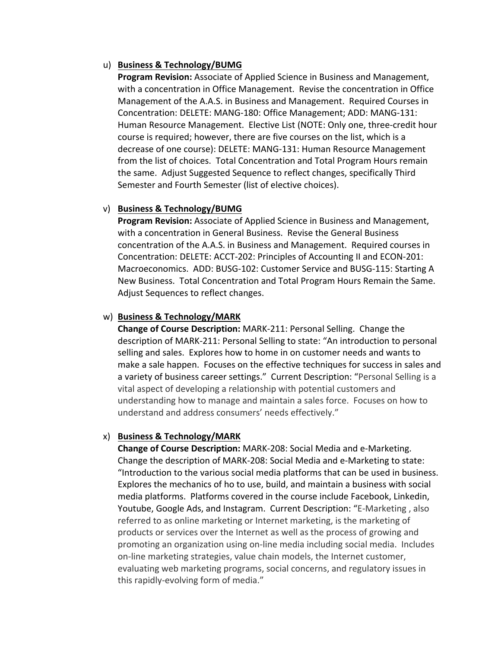#### u) **Business & Technology/BUMG**

**Program Revision:** Associate of Applied Science in Business and Management, with a concentration in Office Management. Revise the concentration in Office Management of the A.A.S. in Business and Management. Required Courses in Concentration: DELETE: MANG‐180: Office Management; ADD: MANG‐131: Human Resource Management. Elective List (NOTE: Only one, three‐credit hour course is required; however, there are five courses on the list, which is a decrease of one course): DELETE: MANG‐131: Human Resource Management from the list of choices. Total Concentration and Total Program Hours remain the same. Adjust Suggested Sequence to reflect changes, specifically Third Semester and Fourth Semester (list of elective choices).

### v) **Business & Technology/BUMG**

**Program Revision:** Associate of Applied Science in Business and Management, with a concentration in General Business. Revise the General Business concentration of the A.A.S. in Business and Management. Required courses in Concentration: DELETE: ACCT‐202: Principles of Accounting II and ECON‐201: Macroeconomics. ADD: BUSG‐102: Customer Service and BUSG‐115: Starting A New Business. Total Concentration and Total Program Hours Remain the Same. Adjust Sequences to reflect changes.

### w) **Business & Technology/MARK**

**Change of Course Description:** MARK‐211: Personal Selling. Change the description of MARK‐211: Personal Selling to state: "An introduction to personal selling and sales. Explores how to home in on customer needs and wants to make a sale happen. Focuses on the effective techniques for success in sales and a variety of business career settings." Current Description: "Personal Selling is a vital aspect of developing a relationship with potential customers and understanding how to manage and maintain a sales force. Focuses on how to understand and address consumers' needs effectively."

#### x) **Business & Technology/MARK**

**Change of Course Description:** MARK‐208: Social Media and e‐Marketing. Change the description of MARK‐208: Social Media and e‐Marketing to state: "Introduction to the various social media platforms that can be used in business. Explores the mechanics of ho to use, build, and maintain a business with social media platforms. Platforms covered in the course include Facebook, Linkedin, Youtube, Google Ads, and Instagram. Current Description: "E‐Marketing , also referred to as online marketing or Internet marketing, is the marketing of products or services over the Internet as well as the process of growing and promoting an organization using on‐line media including social media. Includes on‐line marketing strategies, value chain models, the Internet customer, evaluating web marketing programs, social concerns, and regulatory issues in this rapidly‐evolving form of media."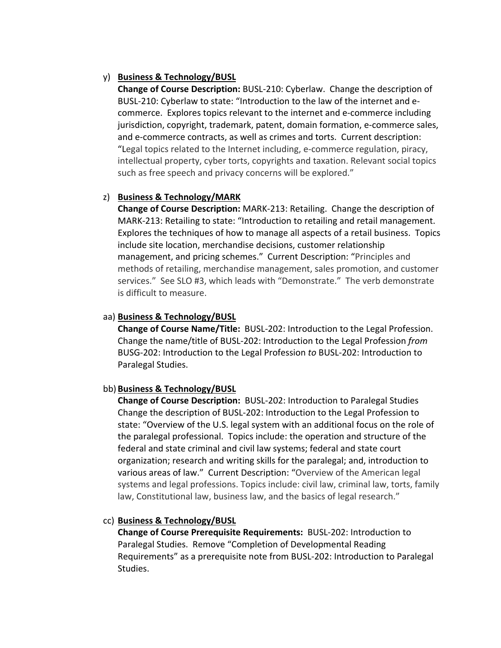### y) **Business & Technology/BUSL**

**Change of Course Description:** BUSL‐210: Cyberlaw. Change the description of BUSL‐210: Cyberlaw to state: "Introduction to the law of the internet and e‐ commerce. Explores topics relevant to the internet and e‐commerce including jurisdiction, copyright, trademark, patent, domain formation, e‐commerce sales, and e-commerce contracts, as well as crimes and torts. Current description: "Legal topics related to the Internet including, e‐commerce regulation, piracy, intellectual property, cyber torts, copyrights and taxation. Relevant social topics such as free speech and privacy concerns will be explored."

### z) **Business & Technology/MARK**

**Change of Course Description:** MARK‐213: Retailing. Change the description of MARK‐213: Retailing to state: "Introduction to retailing and retail management. Explores the techniques of how to manage all aspects of a retail business. Topics include site location, merchandise decisions, customer relationship management, and pricing schemes." Current Description: "Principles and methods of retailing, merchandise management, sales promotion, and customer services." See SLO #3, which leads with "Demonstrate." The verb demonstrate is difficult to measure.

### aa) **Business & Technology/BUSL**

**Change of Course Name/Title:** BUSL‐202: Introduction to the Legal Profession. Change the name/title of BUSL‐202: Introduction to the Legal Profession *from* BUSG‐202: Introduction to the Legal Profession *to* BUSL‐202: Introduction to Paralegal Studies.

#### bb) **Business & Technology/BUSL**

**Change of Course Description:** BUSL‐202: Introduction to Paralegal Studies Change the description of BUSL‐202: Introduction to the Legal Profession to state: "Overview of the U.S. legal system with an additional focus on the role of the paralegal professional. Topics include: the operation and structure of the federal and state criminal and civil law systems; federal and state court organization; research and writing skills for the paralegal; and, introduction to various areas of law." Current Description: "Overview of the American legal systems and legal professions. Topics include: civil law, criminal law, torts, family law, Constitutional law, business law, and the basics of legal research."

## cc) **Business & Technology/BUSL**

**Change of Course Prerequisite Requirements:** BUSL‐202: Introduction to Paralegal Studies. Remove "Completion of Developmental Reading Requirements" as a prerequisite note from BUSL‐202: Introduction to Paralegal Studies.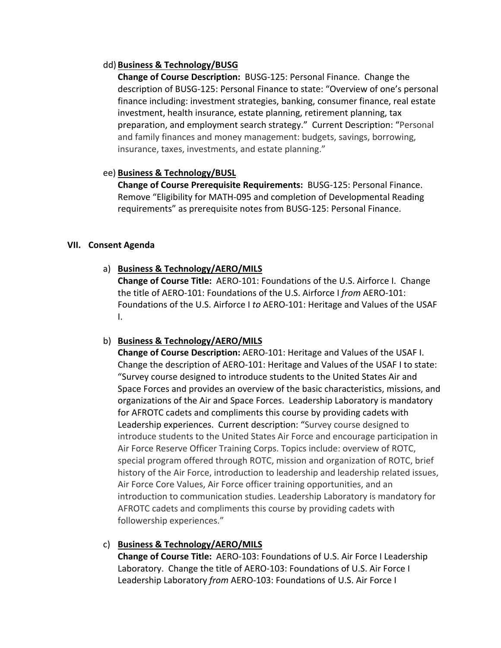#### dd) **Business & Technology/BUSG**

**Change of Course Description:** BUSG‐125: Personal Finance. Change the description of BUSG‐125: Personal Finance to state: "Overview of one's personal finance including: investment strategies, banking, consumer finance, real estate investment, health insurance, estate planning, retirement planning, tax preparation, and employment search strategy." Current Description: "Personal and family finances and money management: budgets, savings, borrowing, insurance, taxes, investments, and estate planning."

## ee) **Business & Technology/BUSL**

**Change of Course Prerequisite Requirements:** BUSG‐125: Personal Finance. Remove "Eligibility for MATH‐095 and completion of Developmental Reading requirements" as prerequisite notes from BUSG‐125: Personal Finance.

## **VII. Consent Agenda**

## a) **Business & Technology/AERO/MILS**

**Change of Course Title:** AERO‐101: Foundations of the U.S. Airforce I. Change the title of AERO‐101: Foundations of the U.S. Airforce I *from* AERO‐101: Foundations of the U.S. Airforce I *to* AERO‐101: Heritage and Values of the USAF I.

## b) **Business & Technology/AERO/MILS**

**Change of Course Description:** AERO‐101: Heritage and Values of the USAF I. Change the description of AERO‐101: Heritage and Values of the USAF I to state: "Survey course designed to introduce students to the United States Air and Space Forces and provides an overview of the basic characteristics, missions, and organizations of the Air and Space Forces. Leadership Laboratory is mandatory for AFROTC cadets and compliments this course by providing cadets with Leadership experiences. Current description: "Survey course designed to introduce students to the United States Air Force and encourage participation in Air Force Reserve Officer Training Corps. Topics include: overview of ROTC, special program offered through ROTC, mission and organization of ROTC, brief history of the Air Force, introduction to leadership and leadership related issues, Air Force Core Values, Air Force officer training opportunities, and an introduction to communication studies. Leadership Laboratory is mandatory for AFROTC cadets and compliments this course by providing cadets with followership experiences."

## c) **Business & Technology/AERO/MILS**

**Change of Course Title:** AERO‐103: Foundations of U.S. Air Force I Leadership Laboratory. Change the title of AERO-103: Foundations of U.S. Air Force I Leadership Laboratory *from* AERO‐103: Foundations of U.S. Air Force I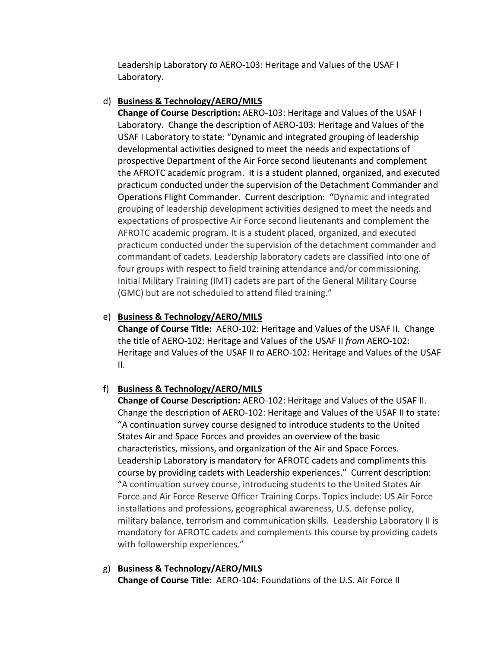Leadership Laboratory *to* AERO‐103: Heritage and Values of the USAF I Laboratory.

## d) **Business & Technology/AERO/MILS**

**Change of Course Description:** AERO‐103: Heritage and Values of the USAF I Laboratory. Change the description of AERO-103: Heritage and Values of the USAF I Laboratory to state: "Dynamic and integrated grouping of leadership developmental activities designed to meet the needs and expectations of prospective Department of the Air Force second lieutenants and complement the AFROTC academic program. It is a student planned, organized, and executed practicum conducted under the supervision of the Detachment Commander and Operations Flight Commander. Current description: "Dynamic and integrated grouping of leadership development activities designed to meet the needs and expectations of prospective Air Force second lieutenants and complement the AFROTC academic program. It is a student placed, organized, and executed practicum conducted under the supervision of the detachment commander and commandant of cadets. Leadership laboratory cadets are classified into one of four groups with respect to field training attendance and/or commissioning. Initial Military Training (IMT) cadets are part of the General Military Course (GMC) but are not scheduled to attend filed training."

## e) **Business & Technology/AERO/MILS**

**Change of Course Title:** AERO‐102: Heritage and Values of the USAF II. Change the title of AERO‐102: Heritage and Values of the USAF II *from* AERO‐102: Heritage and Values of the USAF II *to* AERO‐102: Heritage and Values of the USAF II.

# f) **Business & Technology/AERO/MILS**

**Change of Course Description:** AERO‐102: Heritage and Values of the USAF II. Change the description of AERO‐102: Heritage and Values of the USAF II to state: "A continuation survey course designed to introduce students to the United States Air and Space Forces and provides an overview of the basic characteristics, missions, and organization of the Air and Space Forces. Leadership Laboratory is mandatory for AFROTC cadets and compliments this course by providing cadets with Leadership experiences." Current description: "A continuation survey course, introducing students to the United States Air Force and Air Force Reserve Officer Training Corps. Topics include: US Air Force installations and professions, geographical awareness, U.S. defense policy, military balance, terrorism and communication skills. Leadership Laboratory II is mandatory for AFROTC cadets and complements this course by providing cadets with followership experiences."

#### g) **Business & Technology/AERO/MILS Change of Course Title:** AERO‐104: Foundations of the U.S. Air Force II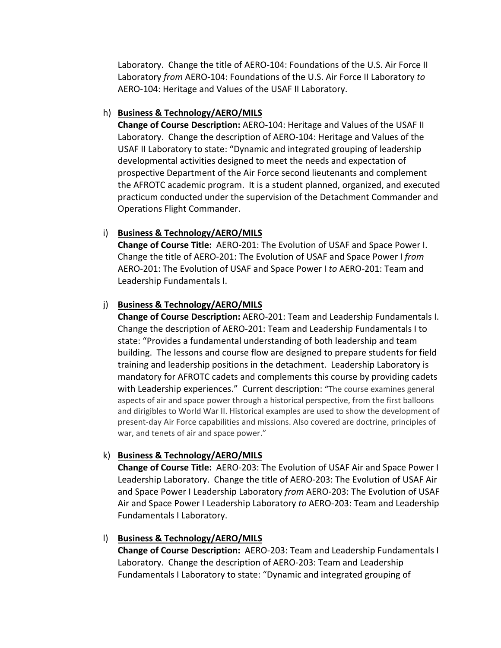Laboratory. Change the title of AERO‐104: Foundations of the U.S. Air Force II Laboratory *from* AERO‐104: Foundations of the U.S. Air Force II Laboratory *to* AERO‐104: Heritage and Values of the USAF II Laboratory.

### h) **Business & Technology/AERO/MILS**

**Change of Course Description:** AERO‐104: Heritage and Values of the USAF II Laboratory. Change the description of AERO-104: Heritage and Values of the USAF II Laboratory to state: "Dynamic and integrated grouping of leadership developmental activities designed to meet the needs and expectation of prospective Department of the Air Force second lieutenants and complement the AFROTC academic program. It is a student planned, organized, and executed practicum conducted under the supervision of the Detachment Commander and Operations Flight Commander.

## i) **Business & Technology/AERO/MILS**

**Change of Course Title:** AERO‐201: The Evolution of USAF and Space Power I. Change the title of AERO‐201: The Evolution of USAF and Space Power I *from* AERO‐201: The Evolution of USAF and Space Power I *to* AERO‐201: Team and Leadership Fundamentals I.

## j) **Business & Technology/AERO/MILS**

**Change of Course Description:** AERO‐201: Team and Leadership Fundamentals I. Change the description of AERO‐201: Team and Leadership Fundamentals I to state: "Provides a fundamental understanding of both leadership and team building. The lessons and course flow are designed to prepare students for field training and leadership positions in the detachment. Leadership Laboratory is mandatory for AFROTC cadets and complements this course by providing cadets with Leadership experiences." Current description: "The course examines general aspects of air and space power through a historical perspective, from the first balloons and dirigibles to World War II. Historical examples are used to show the development of present‐day Air Force capabilities and missions. Also covered are doctrine, principles of war, and tenets of air and space power."

## k) **Business & Technology/AERO/MILS**

**Change of Course Title:** AERO‐203: The Evolution of USAF Air and Space Power I Leadership Laboratory. Change the title of AERO‐203: The Evolution of USAF Air and Space Power I Leadership Laboratory *from* AERO‐203: The Evolution of USAF Air and Space Power I Leadership Laboratory *to* AERO‐203: Team and Leadership Fundamentals I Laboratory.

## l) **Business & Technology/AERO/MILS**

**Change of Course Description:** AERO‐203: Team and Leadership Fundamentals I Laboratory. Change the description of AERO‐203: Team and Leadership Fundamentals I Laboratory to state: "Dynamic and integrated grouping of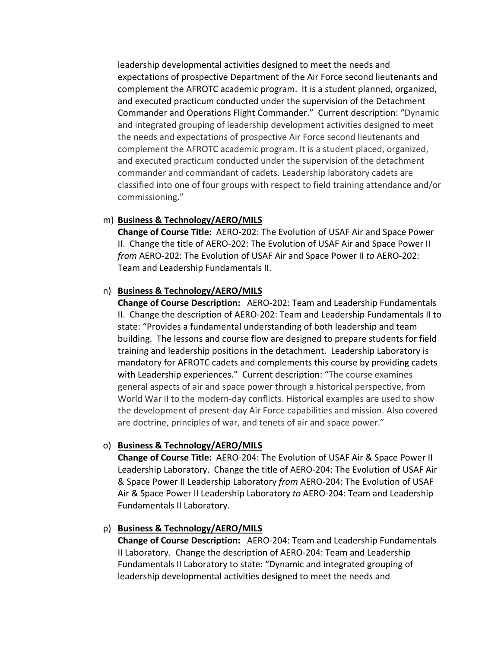leadership developmental activities designed to meet the needs and expectations of prospective Department of the Air Force second lieutenants and complement the AFROTC academic program. It is a student planned, organized, and executed practicum conducted under the supervision of the Detachment Commander and Operations Flight Commander." Current description: "Dynamic and integrated grouping of leadership development activities designed to meet the needs and expectations of prospective Air Force second lieutenants and complement the AFROTC academic program. It is a student placed, organized, and executed practicum conducted under the supervision of the detachment commander and commandant of cadets. Leadership laboratory cadets are classified into one of four groups with respect to field training attendance and/or commissioning."

#### m) **Business & Technology/AERO/MILS**

**Change of Course Title:** AERO‐202: The Evolution of USAF Air and Space Power II. Change the title of AERO‐202: The Evolution of USAF Air and Space Power II *from* AERO‐202: The Evolution of USAF Air and Space Power II *to* AERO‐202: Team and Leadership Fundamentals II.

#### n) **Business & Technology/AERO/MILS**

**Change of Course Description:** AERO‐202: Team and Leadership Fundamentals II. Change the description of AERO‐202: Team and Leadership Fundamentals II to state: "Provides a fundamental understanding of both leadership and team building. The lessons and course flow are designed to prepare students for field training and leadership positions in the detachment. Leadership Laboratory is mandatory for AFROTC cadets and complements this course by providing cadets with Leadership experiences." Current description: "The course examines general aspects of air and space power through a historical perspective, from World War II to the modern‐day conflicts. Historical examples are used to show the development of present‐day Air Force capabilities and mission. Also covered are doctrine, principles of war, and tenets of air and space power."

#### o) **Business & Technology/AERO/MILS**

**Change of Course Title:** AERO‐204: The Evolution of USAF Air & Space Power II Leadership Laboratory. Change the title of AERO‐204: The Evolution of USAF Air & Space Power II Leadership Laboratory *from* AERO‐204: The Evolution of USAF Air & Space Power II Leadership Laboratory *to* AERO‐204: Team and Leadership Fundamentals II Laboratory.

#### p) **Business & Technology/AERO/MILS**

**Change of Course Description:** AERO‐204: Team and Leadership Fundamentals II Laboratory. Change the description of AERO‐204: Team and Leadership Fundamentals II Laboratory to state: "Dynamic and integrated grouping of leadership developmental activities designed to meet the needs and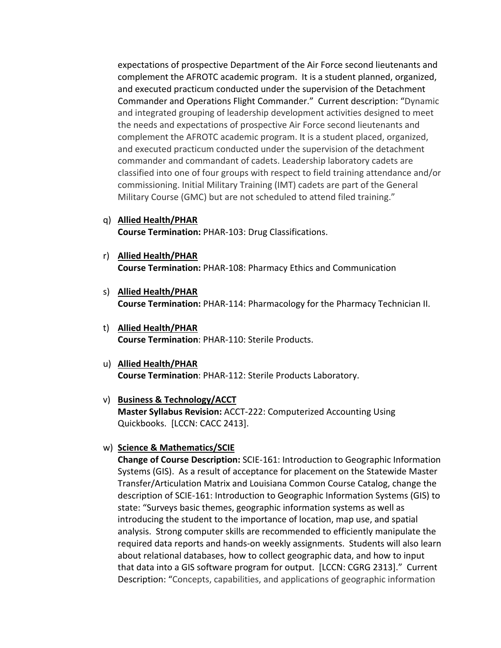expectations of prospective Department of the Air Force second lieutenants and complement the AFROTC academic program. It is a student planned, organized, and executed practicum conducted under the supervision of the Detachment Commander and Operations Flight Commander." Current description: "Dynamic and integrated grouping of leadership development activities designed to meet the needs and expectations of prospective Air Force second lieutenants and complement the AFROTC academic program. It is a student placed, organized, and executed practicum conducted under the supervision of the detachment commander and commandant of cadets. Leadership laboratory cadets are classified into one of four groups with respect to field training attendance and/or commissioning. Initial Military Training (IMT) cadets are part of the General Military Course (GMC) but are not scheduled to attend filed training."

- q) **Allied Health/PHAR Course Termination:** PHAR‐103: Drug Classifications.
- r) **Allied Health/PHAR Course Termination:** PHAR‐108: Pharmacy Ethics and Communication
- s) **Allied Health/PHAR Course Termination:** PHAR‐114: Pharmacology for the Pharmacy Technician II.
- t) **Allied Health/PHAR Course Termination**: PHAR‐110: Sterile Products.
- u) **Allied Health/PHAR Course Termination**: PHAR‐112: Sterile Products Laboratory.

#### v) **Business & Technology/ACCT**

**Master Syllabus Revision:** ACCT‐222: Computerized Accounting Using Quickbooks. [LCCN: CACC 2413].

#### w) **Science & Mathematics/SCIE**

**Change of Course Description:** SCIE‐161: Introduction to Geographic Information Systems (GIS). As a result of acceptance for placement on the Statewide Master Transfer/Articulation Matrix and Louisiana Common Course Catalog, change the description of SCIE‐161: Introduction to Geographic Information Systems (GIS) to state: "Surveys basic themes, geographic information systems as well as introducing the student to the importance of location, map use, and spatial analysis. Strong computer skills are recommended to efficiently manipulate the required data reports and hands‐on weekly assignments. Students will also learn about relational databases, how to collect geographic data, and how to input that data into a GIS software program for output. [LCCN: CGRG 2313]." Current Description: "Concepts, capabilities, and applications of geographic information